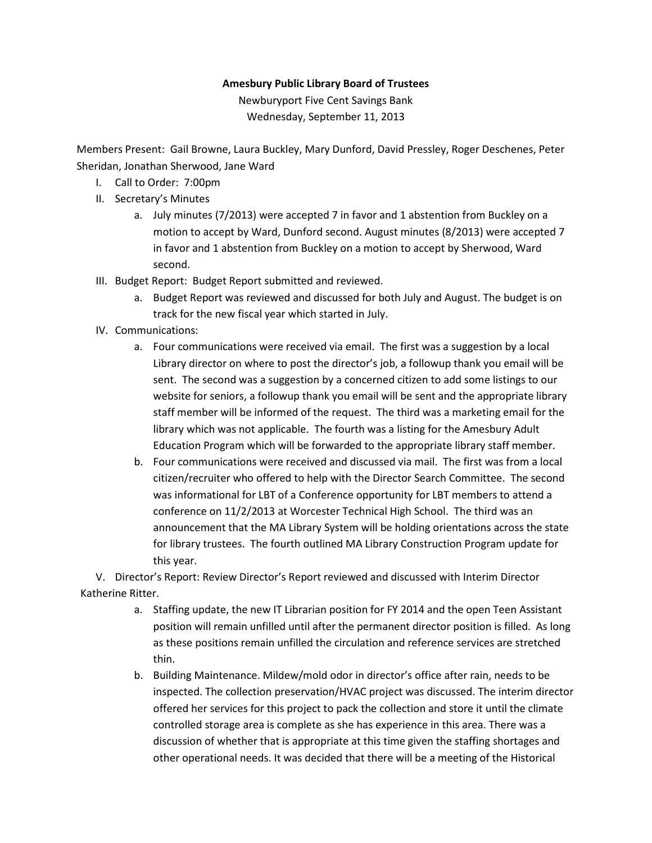## Amesbury Public Library Board of Trustees

Newburyport Five Cent Savings Bank Wednesday, September 11, 2013

Members Present: Gail Browne, Laura Buckley, Mary Dunford, David Pressley, Roger Deschenes, Peter Sheridan, Jonathan Sherwood, Jane Ward

- I. Call to Order: 7:00pm
- II. Secretary's Minutes
	- a. July minutes (7/2013) were accepted 7 in favor and 1 abstention from Buckley on a motion to accept by Ward, Dunford second. August minutes (8/2013) were accepted 7 in favor and 1 abstention from Buckley on a motion to accept by Sherwood, Ward second.
- III. Budget Report: Budget Report submitted and reviewed.
	- a. Budget Report was reviewed and discussed for both July and August. The budget is on track for the new fiscal year which started in July.
- IV. Communications:
	- a. Four communications were received via email. The first was a suggestion by a local Library director on where to post the director's job, a followup thank you email will be sent. The second was a suggestion by a concerned citizen to add some listings to our website for seniors, a followup thank you email will be sent and the appropriate library staff member will be informed of the request. The third was a marketing email for the library which was not applicable. The fourth was a listing for the Amesbury Adult Education Program which will be forwarded to the appropriate library staff member.
	- b. Four communications were received and discussed via mail. The first was from a local citizen/recruiter who offered to help with the Director Search Committee. The second was informational for LBT of a Conference opportunity for LBT members to attend a conference on 11/2/2013 at Worcester Technical High School. The third was an announcement that the MA Library System will be holding orientations across the state for library trustees. The fourth outlined MA Library Construction Program update for this year.

V. Director's Report: Review Director's Report reviewed and discussed with Interim Director Katherine Ritter.

- a. Staffing update, the new IT Librarian position for FY 2014 and the open Teen Assistant position will remain unfilled until after the permanent director position is filled. As long as these positions remain unfilled the circulation and reference services are stretched thin.
- b. Building Maintenance. Mildew/mold odor in director's office after rain, needs to be inspected. The collection preservation/HVAC project was discussed. The interim director offered her services for this project to pack the collection and store it until the climate controlled storage area is complete as she has experience in this area. There was a discussion of whether that is appropriate at this time given the staffing shortages and other operational needs. It was decided that there will be a meeting of the Historical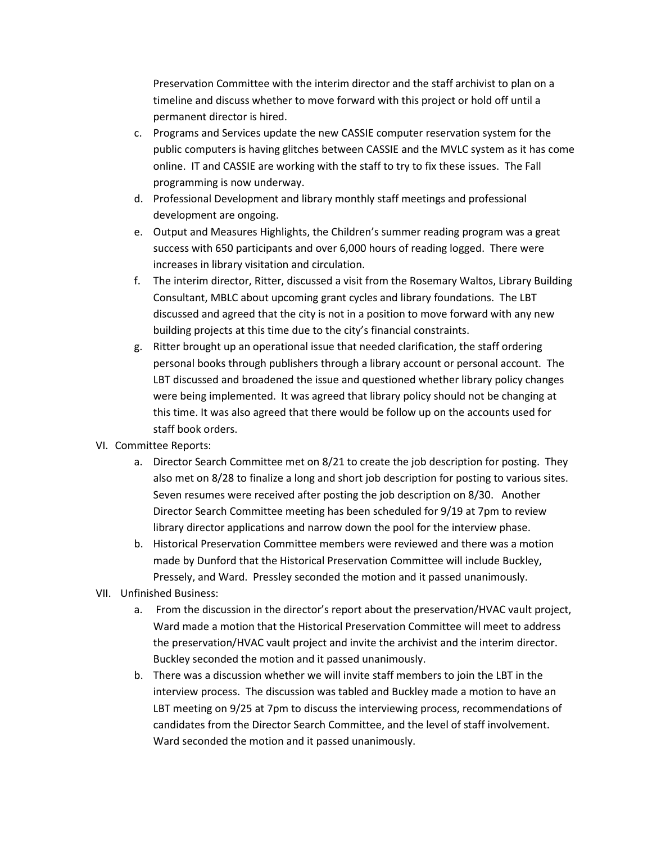Preservation Committee with the interim director and the staff archivist to plan on a timeline and discuss whether to move forward with this project or hold off until a permanent director is hired.

- c. Programs and Services update the new CASSIE computer reservation system for the public computers is having glitches between CASSIE and the MVLC system as it has come online. IT and CASSIE are working with the staff to try to fix these issues. The Fall programming is now underway.
- d. Professional Development and library monthly staff meetings and professional development are ongoing.
- e. Output and Measures Highlights, the Children's summer reading program was a great success with 650 participants and over 6,000 hours of reading logged. There were increases in library visitation and circulation.
- f. The interim director, Ritter, discussed a visit from the Rosemary Waltos, Library Building Consultant, MBLC about upcoming grant cycles and library foundations. The LBT discussed and agreed that the city is not in a position to move forward with any new building projects at this time due to the city's financial constraints.
- g. Ritter brought up an operational issue that needed clarification, the staff ordering personal books through publishers through a library account or personal account. The LBT discussed and broadened the issue and questioned whether library policy changes were being implemented. It was agreed that library policy should not be changing at this time. It was also agreed that there would be follow up on the accounts used for staff book orders.
- VI. Committee Reports:
	- a. Director Search Committee met on 8/21 to create the job description for posting. They also met on 8/28 to finalize a long and short job description for posting to various sites. Seven resumes were received after posting the job description on 8/30. Another Director Search Committee meeting has been scheduled for 9/19 at 7pm to review library director applications and narrow down the pool for the interview phase.
	- b. Historical Preservation Committee members were reviewed and there was a motion made by Dunford that the Historical Preservation Committee will include Buckley, Pressely, and Ward. Pressley seconded the motion and it passed unanimously.
- VII. Unfinished Business:
	- a. From the discussion in the director's report about the preservation/HVAC vault project, Ward made a motion that the Historical Preservation Committee will meet to address the preservation/HVAC vault project and invite the archivist and the interim director. Buckley seconded the motion and it passed unanimously.
	- b. There was a discussion whether we will invite staff members to join the LBT in the interview process. The discussion was tabled and Buckley made a motion to have an LBT meeting on 9/25 at 7pm to discuss the interviewing process, recommendations of candidates from the Director Search Committee, and the level of staff involvement. Ward seconded the motion and it passed unanimously.